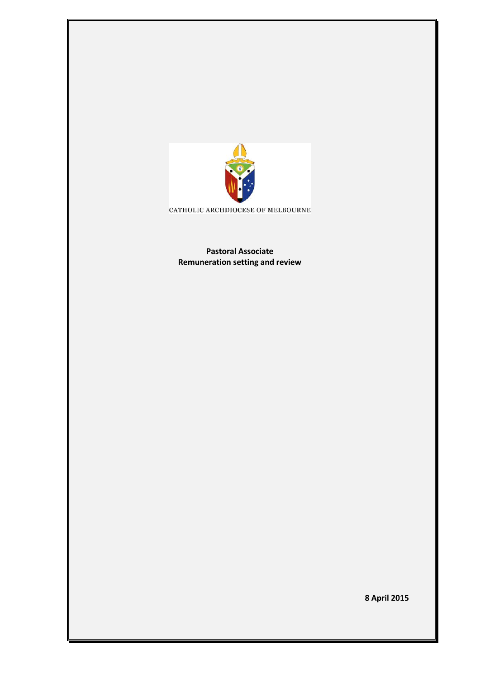

CATHOLIC ARCHDIOCESE OF MELBOURNE

**Pastoral Associate Remuneration setting and review** 

**8 April 2015**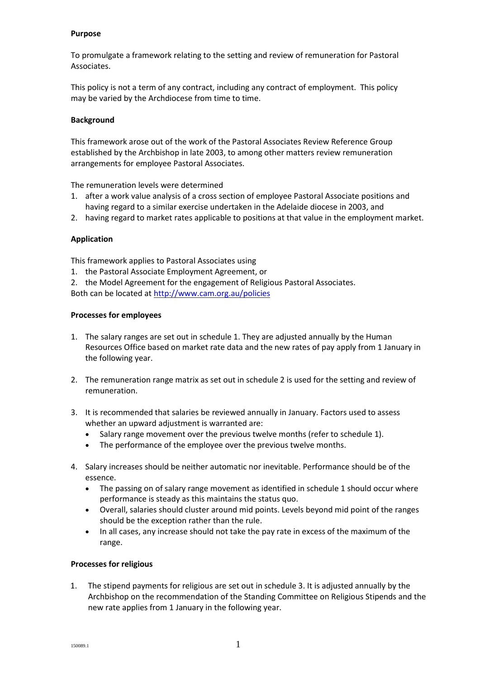#### **Purpose**

To promulgate a framework relating to the setting and review of remuneration for Pastoral Associates.

This policy is not a term of any contract, including any contract of employment. This policy may be varied by the Archdiocese from time to time.

### **Background**

This framework arose out of the work of the Pastoral Associates Review Reference Group established by the Archbishop in late 2003, to among other matters review remuneration arrangements for employee Pastoral Associates.

The remuneration levels were determined

- 1. after a work value analysis of a cross section of employee Pastoral Associate positions and having regard to a similar exercise undertaken in the Adelaide diocese in 2003, and
- 2. having regard to market rates applicable to positions at that value in the employment market.

## **Application**

This framework applies to Pastoral Associates using

- 1. the Pastoral Associate Employment Agreement, or
- 2. the Model Agreement for the engagement of Religious Pastoral Associates.

Both can be located a[t http://www.cam.org.au/policies](http://www.cam.org.au/policies)

### **Processes for employees**

- 1. The salary ranges are set out in schedule 1. They are adjusted annually by the Human Resources Office based on market rate data and the new rates of pay apply from 1 January in the following year.
- 2. The remuneration range matrix as set out in schedule 2 is used for the setting and review of remuneration.
- 3. It is recommended that salaries be reviewed annually in January. Factors used to assess whether an upward adjustment is warranted are:
	- Salary range movement over the previous twelve months (refer to schedule 1).
	- The performance of the employee over the previous twelve months.
- 4. Salary increases should be neither automatic nor inevitable. Performance should be of the essence.
	- The passing on of salary range movement as identified in schedule 1 should occur where performance is steady as this maintains the status quo.
	- Overall, salaries should cluster around mid points. Levels beyond mid point of the ranges should be the exception rather than the rule.
	- In all cases, any increase should not take the pay rate in excess of the maximum of the range.

### **Processes for religious**

1. The stipend payments for religious are set out in schedule 3. It is adjusted annually by the Archbishop on the recommendation of the Standing Committee on Religious Stipends and the new rate applies from 1 January in the following year.

150089.1 **1**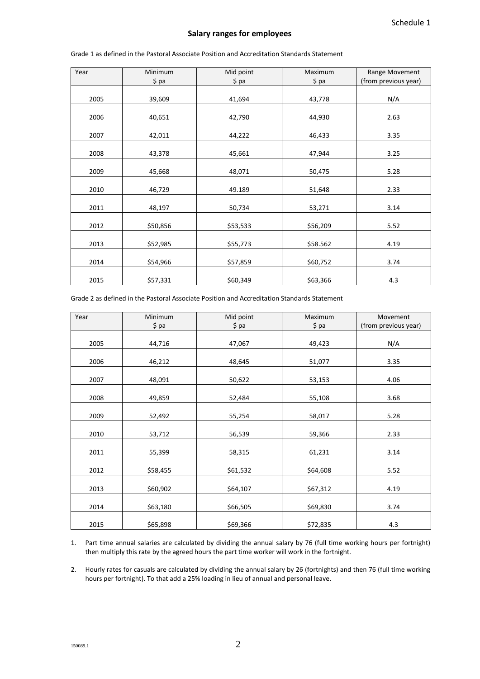#### **Salary ranges for employees**

| Year | Minimum  | Mid point | Maximum  | Range Movement       |
|------|----------|-----------|----------|----------------------|
|      | \$ pa    | $$$ pa    | \$ pa    | (from previous year) |
|      |          |           |          |                      |
| 2005 | 39,609   | 41,694    | 43,778   | N/A                  |
|      |          |           |          |                      |
| 2006 | 40,651   | 42,790    | 44,930   | 2.63                 |
| 2007 |          |           |          |                      |
|      | 42,011   | 44,222    | 46,433   | 3.35                 |
| 2008 | 43,378   | 45,661    | 47,944   | 3.25                 |
|      |          |           |          |                      |
| 2009 | 45,668   | 48,071    | 50,475   | 5.28                 |
|      |          |           |          |                      |
| 2010 | 46,729   | 49.189    | 51,648   | 2.33                 |
| 2011 | 48,197   | 50,734    | 53,271   | 3.14                 |
| 2012 | \$50,856 | \$53,533  | \$56,209 | 5.52                 |
|      |          |           |          |                      |
| 2013 | \$52,985 | \$55,773  | \$58.562 | 4.19                 |
|      |          |           |          |                      |
| 2014 | \$54,966 | \$57,859  | \$60,752 | 3.74                 |
| 2015 | \$57,331 | \$60,349  | \$63,366 | 4.3                  |

Grade 1 as defined in the Pastoral Associate Position and Accreditation Standards Statement

Grade 2 as defined in the Pastoral Associate Position and Accreditation Standards Statement

| Year | Minimum  | Mid point | Maximum  | Movement             |
|------|----------|-----------|----------|----------------------|
|      | $$$ pa   | $$$ pa    | $$$ pa   | (from previous year) |
|      |          |           |          |                      |
| 2005 | 44,716   | 47,067    | 49,423   | N/A                  |
|      |          |           |          |                      |
| 2006 | 46,212   | 48,645    | 51,077   | 3.35                 |
| 2007 | 48,091   | 50,622    | 53,153   | 4.06                 |
|      |          |           |          |                      |
| 2008 | 49,859   | 52,484    | 55,108   | 3.68                 |
|      |          |           |          |                      |
| 2009 | 52,492   | 55,254    | 58,017   | 5.28                 |
|      |          |           |          |                      |
| 2010 | 53,712   | 56,539    | 59,366   | 2.33                 |
| 2011 | 55,399   | 58,315    | 61,231   | 3.14                 |
| 2012 | \$58,455 | \$61,532  | \$64,608 | 5.52                 |
|      |          |           |          |                      |
| 2013 | \$60,902 | \$64,107  | \$67,312 | 4.19                 |
| 2014 | \$63,180 | \$66,505  | \$69,830 | 3.74                 |
| 2015 | \$65,898 | \$69,366  | \$72,835 | 4.3                  |

1. Part time annual salaries are calculated by dividing the annual salary by 76 (full time working hours per fortnight) then multiply this rate by the agreed hours the part time worker will work in the fortnight.

2. Hourly rates for casuals are calculated by dividing the annual salary by 26 (fortnights) and then 76 (full time working hours per fortnight). To that add a 25% loading in lieu of annual and personal leave.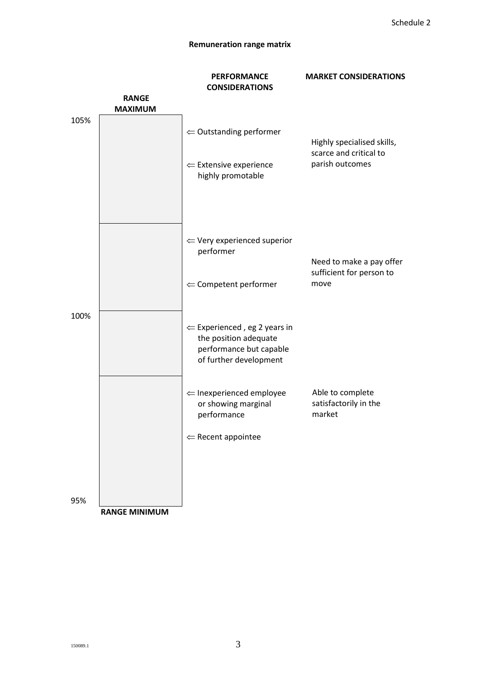# **Remuneration range matrix**

|      |                                | <b>PERFORMANCE</b>                                                                                                    | <b>MARKET CONSIDERATIONS</b>                        |  |
|------|--------------------------------|-----------------------------------------------------------------------------------------------------------------------|-----------------------------------------------------|--|
|      |                                | <b>CONSIDERATIONS</b>                                                                                                 |                                                     |  |
|      | <b>RANGE</b><br><b>MAXIMUM</b> |                                                                                                                       |                                                     |  |
| 105% |                                |                                                                                                                       |                                                     |  |
|      |                                | $\Leftarrow$ Outstanding performer                                                                                    | Highly specialised skills,                          |  |
|      |                                | $\Leftarrow$ Extensive experience<br>highly promotable                                                                | scarce and critical to<br>parish outcomes           |  |
|      |                                | $\Leftarrow$ Very experienced superior<br>performer                                                                   | Need to make a pay offer                            |  |
|      |                                | $\Leftarrow$ Competent performer                                                                                      | sufficient for person to<br>move                    |  |
| 100% |                                | $\Leftarrow$ Experienced, eg 2 years in<br>the position adequate<br>performance but capable<br>of further development |                                                     |  |
|      |                                | $\Leftarrow$ Inexperienced employee<br>or showing marginal<br>performance                                             | Able to complete<br>satisfactorily in the<br>market |  |
|      |                                | $\Leftarrow$ Recent appointee                                                                                         |                                                     |  |
|      |                                |                                                                                                                       |                                                     |  |
| 95%  | <b>RANGE MINIMUM</b>           |                                                                                                                       |                                                     |  |